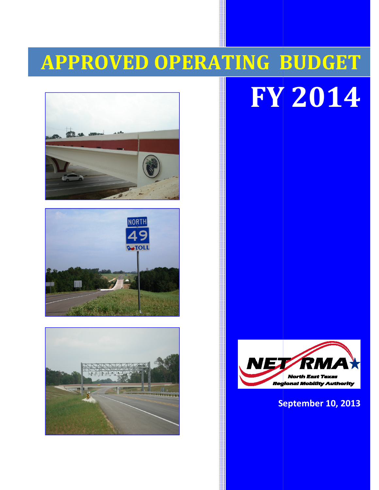# APPROVED OPERATING BUDGET BUDGET









FY 201 2014

#### September 10, 2013 2013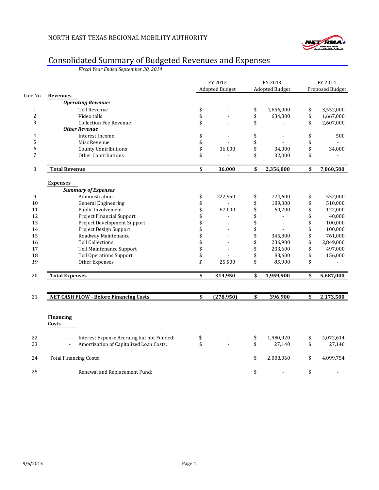

#### Consolidated Summary of Budgeted Revenues and Expenses

Fiscal Year Ended September 30, 2014

|              |                                                                       | FY 2012<br><b>Adopted Budget</b> | FY 2013<br><b>Adopted Budget</b> | FY 2014<br>Proposed Budget |
|--------------|-----------------------------------------------------------------------|----------------------------------|----------------------------------|----------------------------|
| Line No.     | <b>Revenues</b>                                                       |                                  |                                  |                            |
|              | <b>Operating Revenue:</b>                                             |                                  |                                  |                            |
| $\mathbf{1}$ | <b>Toll Revenue</b>                                                   | \$                               | \$<br>1,656,000                  | \$<br>3,552,000            |
| $\sqrt{2}$   | Video tolls                                                           | \$                               | \$<br>634,800                    | \$<br>1,667,000            |
| 3            | <b>Collection Fee Revenue</b>                                         | \$                               | \$                               | \$<br>2,607,000            |
|              | <b>Other Revenue</b>                                                  |                                  |                                  |                            |
| 4            | Interest Income                                                       | \$                               | \$                               | \$<br>500                  |
| 5            | Misc Revenue                                                          | \$                               | \$                               | \$                         |
| 6            | <b>County Contributions</b>                                           | \$<br>36,000                     | \$<br>34,000                     | \$<br>34,000               |
| 7            | <b>Other Contributions</b>                                            | \$                               | \$<br>32,000                     | \$                         |
| 8            | <b>Total Revenue</b>                                                  | \$<br>36,000                     | \$<br>2,356,800                  | \$<br>7,860,500            |
|              | <b>Expenses</b>                                                       |                                  |                                  |                            |
|              | <b>Summary of Expenses</b>                                            |                                  |                                  |                            |
| 9            | Administration                                                        | \$<br>222,950                    | \$<br>724,600                    | \$<br>552,000              |
| 10           | <b>General Engineering</b>                                            | \$                               | \$<br>189,300                    | \$<br>510,000              |
| 11           | Public Involvement                                                    | \$<br>67,000                     | \$<br>60,200                     | \$<br>122,000              |
| 12           | Project Financial Support                                             | \$                               | \$<br>$\overline{a}$             | \$<br>40,000               |
| 13           | Project Development Support                                           | \$                               | \$                               | \$<br>100,000              |
| 14           | Project Design Support                                                | \$                               | \$                               | \$<br>100,000              |
| 15           | Roadway Maintenance                                                   | \$                               | \$<br>345,800                    | \$<br>761,000              |
| 16           | <b>Toll Collections</b>                                               | \$                               | \$<br>236,900                    | \$<br>2,849,000            |
| 17           | <b>Toll Maintenance Support</b>                                       | \$                               | \$<br>233,600                    | \$<br>497,000              |
| 18           | <b>Toll Operations Support</b>                                        | \$                               | \$<br>83,600                     | \$<br>156,000              |
| 19           | Other Expenses                                                        | \$<br>25,000                     | \$<br>85,900                     | \$                         |
| 20           | <b>Total Expenses</b>                                                 | \$<br>314,950                    | \$<br>1,959,900                  | \$<br>5,687,000            |
|              |                                                                       |                                  |                                  |                            |
| 21           | <b>NET CASH FLOW - Before Financing Costs</b>                         | \$<br>(278,950)                  | \$<br>396,900                    | \$<br>2,173,500            |
|              |                                                                       |                                  |                                  |                            |
|              | <b>Financing</b>                                                      |                                  |                                  |                            |
|              | Costs                                                                 |                                  |                                  |                            |
| 22           | Interest Expense Accruing but not Funded:<br>$\overline{\phantom{a}}$ | \$                               | \$<br>1,980,920                  | \$<br>4,072,614            |
| 23           | Amortization of Capitalized Loan Costs:                               | \$                               | \$<br>27,140                     | \$<br>27,140               |
| 24           | <b>Total Financing Costs:</b>                                         |                                  | \$<br>2,008,060                  | \$<br>4,099,754            |
| 25           | Renewal and Replacement Fund:                                         |                                  | \$                               | \$                         |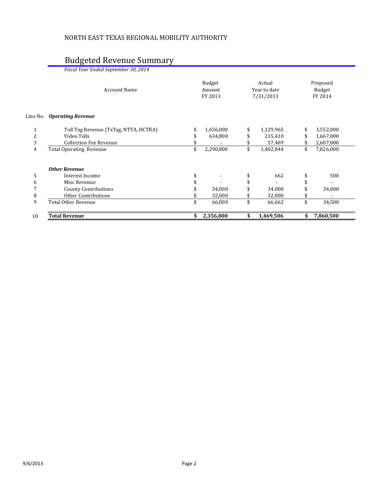### Budgeted Revenue Summary

| 10 | <b>Total Revenue</b>                  | \$<br>2,356,800             | \$<br>1,469,506                     | \$                            | 7,860,500 |  |
|----|---------------------------------------|-----------------------------|-------------------------------------|-------------------------------|-----------|--|
| 9  | <b>Total Other Revenue</b>            | \$<br>66,000                | \$<br>66,662                        | \$                            | 34,500    |  |
| 8  | <b>Other Contributions</b>            | 32,000                      | \$<br>32,000                        |                               |           |  |
| 7  | <b>County Contributions</b>           | 34,000                      | \$<br>34,000                        |                               | 34,000    |  |
| 6  | Misc Revenue                          |                             | \$                                  |                               |           |  |
| 5  | Interest Income                       | \$                          | \$<br>662                           |                               | 500       |  |
|    | <b>Other Revenue</b>                  |                             |                                     |                               |           |  |
| 4  | <b>Total Operating Revenue</b>        | \$<br>2,290,800             | \$<br>1,402,844                     | \$                            | 7,826,000 |  |
| 3  | <b>Collection Fee Revenue</b>         |                             | \$<br>57,469                        |                               | 2,607,000 |  |
| 2  | Video Tolls                           | 634,800                     | \$<br>215,410                       | \$                            | 1,667,000 |  |
|    | Toll Tag Revenue (TxTag, NTTA, HCTRA) | \$<br>1,656,000             | \$<br>1,129,965                     |                               | 3,552,000 |  |
|    | Line No. Operating Revenue            |                             |                                     |                               |           |  |
|    | <b>Account Name</b>                   | Budget<br>Amount<br>FY 2013 | Actual<br>Year to date<br>7/31/2013 | Proposed<br>Budget<br>FY 2014 |           |  |
|    | Fiscal Year Ended September 30, 2014  |                             |                                     |                               |           |  |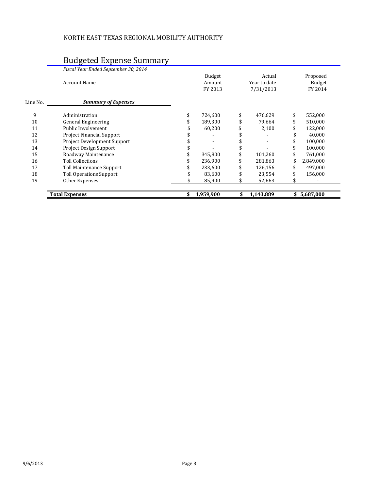#### NORTH EAST TEXAS REGIONAL MOBILITY AUTHORITY

#### Budgeted Expense Summary

|          | Fiscal Year Ended September 30, 2014 |                  |                        |                           |
|----------|--------------------------------------|------------------|------------------------|---------------------------|
|          | <b>Account Name</b>                  | Budget<br>Amount | Actual<br>Year to date | Proposed<br><b>Budget</b> |
|          |                                      | FY 2013          | 7/31/2013              | FY 2014                   |
| Line No. | <b>Summary of Expenses</b>           |                  |                        |                           |
| 9        | Administration                       | 724,600          | \$<br>476,629          | \$<br>552,000             |
| 10       | <b>General Engineering</b>           | 189,300          | 79,664                 | \$<br>510,000             |
| 11       | Public Involvement                   | 60,200           | 2,100                  | 122,000                   |
| 12       | Project Financial Support            |                  |                        | 40,000                    |
| 13       | Project Development Support          |                  |                        | 100,000                   |
| 14       | <b>Project Design Support</b>        |                  |                        | 100,000                   |
| 15       | Roadway Maintenance                  | 345,800          | 101,260                | 761,000                   |
| 16       | <b>Toll Collections</b>              | 236,900          | 281,863                | 2,849,000                 |
| 17       | Toll Maintenance Support             | 233,600          | 126,156                | 497,000                   |
| 18       | <b>Toll Operations Support</b>       | 83,600           | 23,554                 | 156,000                   |
| 19       | Other Expenses                       | 85,900           | 52,663                 | \$                        |
|          | <b>Total Expenses</b>                | \$<br>1,959,900  | \$<br>1,143,889        | \$5,687,000               |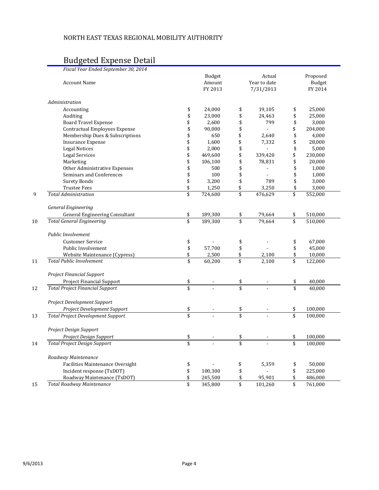#### NORTH EAST TEXAS REGIONAL MOBILITY AUTHORITY

#### Budgeted Expense Detail

| Fiscal Year Ended September 30, 2014     |                         |               |                      |               |
|------------------------------------------|-------------------------|---------------|----------------------|---------------|
|                                          |                         | <b>Budget</b> | Actual               | Proposed      |
| <b>Account Name</b>                      |                         | Amount        | Year to date         | <b>Budget</b> |
|                                          |                         | FY 2013       | 7/31/2013            | FY 2014       |
| Administration                           |                         |               |                      |               |
| Accounting                               | \$                      | 24,000        | \$<br>19,105         | \$<br>25,000  |
| Auditing                                 | \$                      | 23,000        | \$<br>24,463         | \$<br>25,000  |
| <b>Board Travel Expense</b>              | \$                      | 2,600         | \$<br>799            | \$<br>3,000   |
| <b>Contractual Employees Expense</b>     | \$                      | 90,000        | \$<br>$\overline{a}$ | \$<br>204,000 |
| Membership Dues & Subscriptions          | \$                      | 650           | \$<br>2,640          | \$<br>4,000   |
| <b>Insurance Expense</b>                 | \$                      | 1,600         | \$<br>7,332          | \$<br>28,000  |
| <b>Legal Notices</b>                     | \$                      | 2,000         | \$                   | \$<br>5,000   |
| <b>Legal Services</b>                    | \$                      | 469,600       | \$<br>339,420        | \$<br>230,000 |
| Marketing                                | \$                      | 106,100       | \$<br>78,831         | \$<br>20,000  |
| Other Administrative Expenses            | \$                      | 500           | \$<br>$\overline{a}$ | \$<br>1,000   |
| Seminars and Conferences                 | \$                      | 100           | \$                   | \$<br>1,000   |
| <b>Surety Bonds</b>                      | \$                      | 3,200         | \$<br>789            | \$<br>3,000   |
| <b>Trustee Fees</b>                      | \$                      | 1,250         | \$<br>3,250          | \$<br>3,000   |
| <b>Total Administration</b>              | $\overline{\$}$         | 724,600       | \$<br>476,629        | \$<br>552,000 |
| <b>General Engineering</b>               |                         |               |                      |               |
| General Engineering Consultant           | \$                      | 189,300       | \$<br>79,664         | \$<br>510,000 |
| <b>Total General Engineering</b>         | $\overline{\$}$         | 189,300       | \$<br>79,664         | \$<br>510,000 |
| Public Involvement                       |                         |               |                      |               |
| <b>Customer Service</b>                  | \$                      |               | \$                   | \$<br>67,000  |
| Public Involvement                       | \$                      | 57,700        | \$                   | \$<br>45,000  |
| Website Maintenance (Cypress)            | \$                      | 2,500         | \$<br>2,100          | \$<br>10,000  |
| <b>Total Public Involvement</b>          | \$                      | 60,200        | \$<br>2,100          | \$<br>122,000 |
| Project Financial Support                |                         |               |                      |               |
| Project Financial Support                | \$                      |               | \$                   | \$<br>40,000  |
| <b>Total Project Financial Support</b>   | $\overline{\mathbf{s}}$ |               |                      | 40,000        |
| Project Development Support              |                         |               |                      |               |
| Project Development Support              | \$                      |               | \$                   | \$<br>100,000 |
| <b>Total Project Development Support</b> | \$                      |               | \$                   | \$<br>100,000 |
| Project Design Support                   |                         |               |                      |               |
| Project Design Support                   | \$                      |               | \$                   | \$<br>100,000 |
| <b>Total Project Design Support</b>      | \$                      |               | \$                   | \$<br>100,000 |
| Roadway Maintenance                      |                         |               |                      |               |
| Facilities Maintenance Oversight         | \$                      |               | \$<br>5,359          | \$<br>50,000  |
| Incident response (TxDOT)                | \$                      | 100,300       | \$                   | \$<br>225,000 |
| Roadway Maintenance (TxDOT)              | \$                      | 245,500       | \$<br>95,901         | \$<br>486,000 |
| <b>Total Roadway Maintenance</b>         | \$                      | 345,800       | \$<br>101,260        | \$<br>761,000 |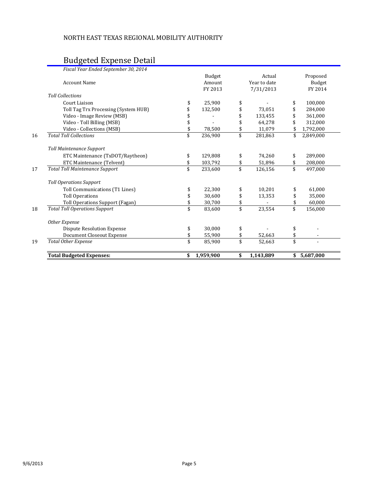#### Budgeted Expense Detail

| <b>Total Budgeted Expenses:</b>       | \$<br>1,959,900  | \$<br>1,143,889        | \$       | 5,687,000          |
|---------------------------------------|------------------|------------------------|----------|--------------------|
| <b>Total Other Expense</b>            | \$<br>85,900     | \$<br>52,663           |          |                    |
| Document Closeout Expense             | \$<br>55,900     | \$<br>52,663           | \$<br>\$ |                    |
| <b>Dispute Resolution Expense</b>     | \$<br>30,000     | \$                     | \$       |                    |
| Other Expense                         |                  |                        |          |                    |
| <b>Total Toll Operations Support</b>  | \$<br>83,600     | \$<br>23,554           | \$       | 156,000            |
| Toll Operations Support (Fagan)       | \$<br>30,700     | \$                     |          | 60,000             |
| <b>Toll Operations</b>                | 30,600           | \$<br>13,353           |          | 35,000             |
| Toll Communications (T1 Lines)        | \$<br>22,300     | \$<br>10,201           |          | 61,000             |
| <b>Toll Operations Support</b>        |                  |                        |          |                    |
| <b>Total Toll Maintenance Support</b> | \$<br>233,600    | \$<br>126,156          | \$       | 497,000            |
| ETC Maintenance (Telvent)             | 103,792          | \$<br>51,896           |          | 208,000            |
| ETC Maintenance (TxDOT/Raytheon)      | \$<br>129,808    | \$<br>74,260           | \$       | 289,000            |
| <b>Toll Maintenance Support</b>       |                  |                        |          |                    |
| <b>Total Toll Collections</b>         | \$<br>236,900    | \$<br>281,863          | \$       | 2,849,000          |
| Video - Collections (MSB)             | 78,500           | \$<br>11,079           |          | 1,792,000          |
| Video - Toll Billing (MSB)            |                  | \$<br>64,278           |          | 312,000            |
| Video - Image Review (MSB)            |                  | \$<br>133,455          |          | 361,000            |
| Toll Tag Trx Processing (System HUB)  | 132,500          | \$<br>73,051           |          | 284,000            |
| Court Liaison                         | \$<br>25,900     | \$                     | \$       | 100,000            |
| <b>Toll Collections</b>               |                  |                        |          |                    |
|                                       | FY 2013          | 7/31/2013              |          | FY 2014            |
| <b>Account Name</b>                   | Budget<br>Amount | Actual<br>Year to date |          | Proposed<br>Budget |
| Fiscal Year Ended September 30, 2014  |                  |                        |          |                    |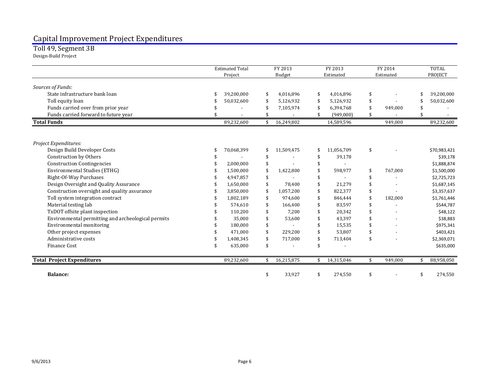## Capital Improvement Project Expenditures Toll 49, Segment 3B

Design-Build Project

|                                                    | <b>Estimated Total</b> | FY 2013          | FY 2013          | FY 2014       |    | <b>TOTAL</b> |
|----------------------------------------------------|------------------------|------------------|------------------|---------------|----|--------------|
|                                                    | Project                | Budget           | Estimated        | Estimated     |    | PROJECT      |
| Sources of Funds:                                  |                        |                  |                  |               |    |              |
| State infrastructure bank loan                     | 39,200,000             | \$<br>4,016,896  | \$<br>4.016.896  | \$            | \$ | 39,200,000   |
| Toll equity loan                                   | 50,032,600             | 5,126,932        | \$<br>5,126,932  | \$            | \$ | 50,032,600   |
| Funds carried over from prior year                 |                        | 7,105,974        | \$<br>6,394,768  | 949,000       |    |              |
| Funds carried forward to future year               |                        |                  | (949,000)        |               |    |              |
| <b>Total Funds</b>                                 | 89,232,600             | \$<br>16,249,802 | 14,589,596       | 949,000       |    | 89,232,600   |
| Project Expenditures:                              |                        |                  |                  |               |    |              |
| Design Build Developer Costs                       | 70,068,399             | \$<br>11,509,475 | \$<br>11,056,709 | \$            |    | \$70,983,421 |
| Construction by Others                             |                        |                  | \$<br>39,178     |               |    | \$39,178     |
| <b>Construction Contingencies</b>                  | 2,000,000              |                  | \$               |               |    | \$1,888,874  |
| <b>Environmental Studies (ETHG)</b>                | 1,500,000              | 1,422,800        | \$<br>598,977    | \$<br>767,000 |    | \$1,500,000  |
| Right-Of-Way Purchases                             | 4,947,857              |                  |                  |               |    | \$2,725,723  |
| Design Oversight and Quality Assurance             | 1,650,000              | 78,400           | \$<br>21,279     |               |    | \$1,687,145  |
| Construction oversight and quality assurance       | 3,850,000              | 1,057,200        | \$<br>822,377    |               |    | \$3,357,637  |
| Toll system integration contract                   | 1,802,189              | 974,600          | \$<br>846,444    | 182,000       |    | \$1,761,446  |
| Material testing lab                               | 574,610                | 166,400          | \$<br>83,597     |               |    | \$544,787    |
| TxDOT offsite plant inspection                     | 110,200                | 7.200            | \$<br>20,342     |               |    | \$48,122     |
| Environmental permitting and archeological permits | 35,000                 | 53,600           | \$<br>43,397     |               |    | \$38,883     |
| Environmental monitoring                           | 180,000                |                  | \$<br>15,535     |               |    | \$975,341    |
| Other project expenses                             | 471,000                | 229,200          | 53,807           |               |    | \$403,421    |
| Administrative costs                               | 1,408,345              | 717,000          | \$<br>713,404    | \$            |    | \$2,369,071  |
| <b>Finance Cost</b>                                | 635,000                |                  | \$               |               |    | \$635,000    |
| <b>Total Project Expenditures</b>                  | 89,232,600             | \$<br>16,215,875 | \$<br>14,315,046 | \$<br>949,000 | \$ | 88,958,050   |
| <b>Balance:</b>                                    |                        | \$<br>33,927     | \$<br>274,550    | \$            | \$ | 274,550      |